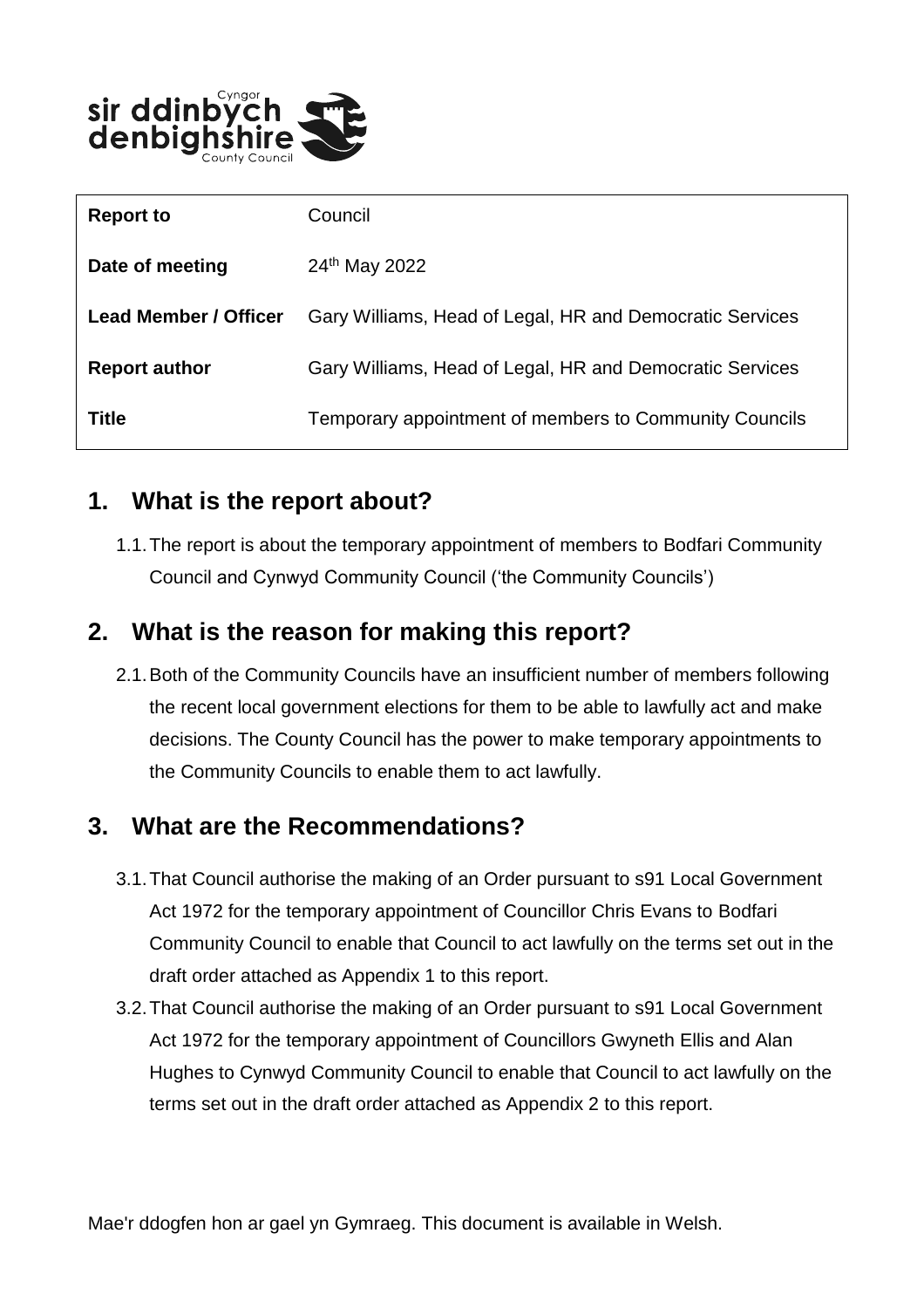

| <b>Report to</b>             | Council                                                  |
|------------------------------|----------------------------------------------------------|
| Date of meeting              | 24 <sup>th</sup> May 2022                                |
| <b>Lead Member / Officer</b> | Gary Williams, Head of Legal, HR and Democratic Services |
| <b>Report author</b>         | Gary Williams, Head of Legal, HR and Democratic Services |
| <b>Title</b>                 | Temporary appointment of members to Community Councils   |

#### **1. What is the report about?**

1.1.The report is about the temporary appointment of members to Bodfari Community Council and Cynwyd Community Council ('the Community Councils')

### **2. What is the reason for making this report?**

2.1.Both of the Community Councils have an insufficient number of members following the recent local government elections for them to be able to lawfully act and make decisions. The County Council has the power to make temporary appointments to the Community Councils to enable them to act lawfully.

# **3. What are the Recommendations?**

- 3.1.That Council authorise the making of an Order pursuant to s91 Local Government Act 1972 for the temporary appointment of Councillor Chris Evans to Bodfari Community Council to enable that Council to act lawfully on the terms set out in the draft order attached as Appendix 1 to this report.
- 3.2.That Council authorise the making of an Order pursuant to s91 Local Government Act 1972 for the temporary appointment of Councillors Gwyneth Ellis and Alan Hughes to Cynwyd Community Council to enable that Council to act lawfully on the terms set out in the draft order attached as Appendix 2 to this report.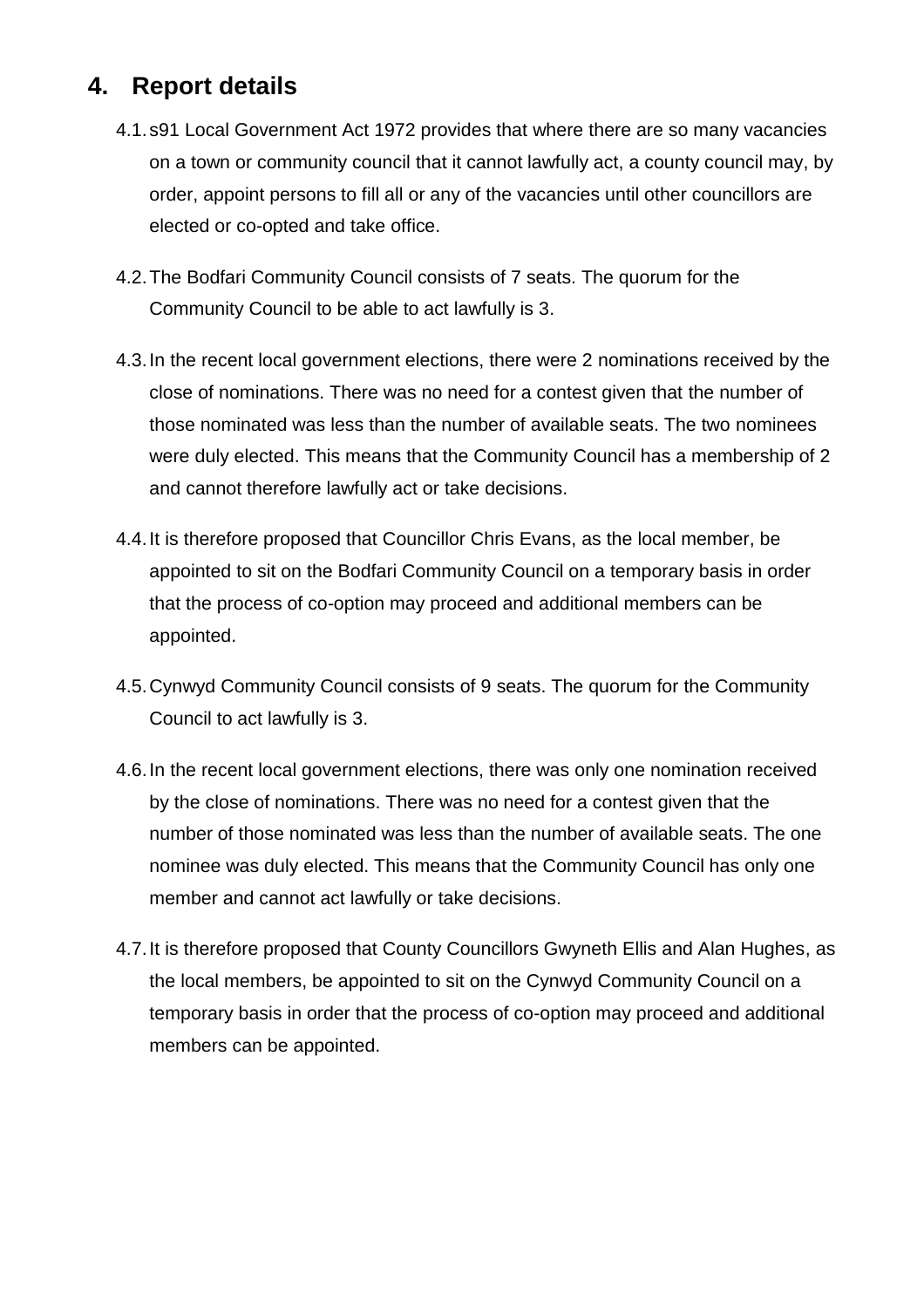# **4. Report details**

- 4.1.s91 Local Government Act 1972 provides that where there are so many vacancies on a town or community council that it cannot lawfully act, a county council may, by order, appoint persons to fill all or any of the vacancies until other councillors are elected or co-opted and take office.
- 4.2.The Bodfari Community Council consists of 7 seats. The quorum for the Community Council to be able to act lawfully is 3.
- 4.3.In the recent local government elections, there were 2 nominations received by the close of nominations. There was no need for a contest given that the number of those nominated was less than the number of available seats. The two nominees were duly elected. This means that the Community Council has a membership of 2 and cannot therefore lawfully act or take decisions.
- 4.4.It is therefore proposed that Councillor Chris Evans, as the local member, be appointed to sit on the Bodfari Community Council on a temporary basis in order that the process of co-option may proceed and additional members can be appointed.
- 4.5.Cynwyd Community Council consists of 9 seats. The quorum for the Community Council to act lawfully is 3.
- 4.6.In the recent local government elections, there was only one nomination received by the close of nominations. There was no need for a contest given that the number of those nominated was less than the number of available seats. The one nominee was duly elected. This means that the Community Council has only one member and cannot act lawfully or take decisions.
- 4.7.It is therefore proposed that County Councillors Gwyneth Ellis and Alan Hughes, as the local members, be appointed to sit on the Cynwyd Community Council on a temporary basis in order that the process of co-option may proceed and additional members can be appointed.